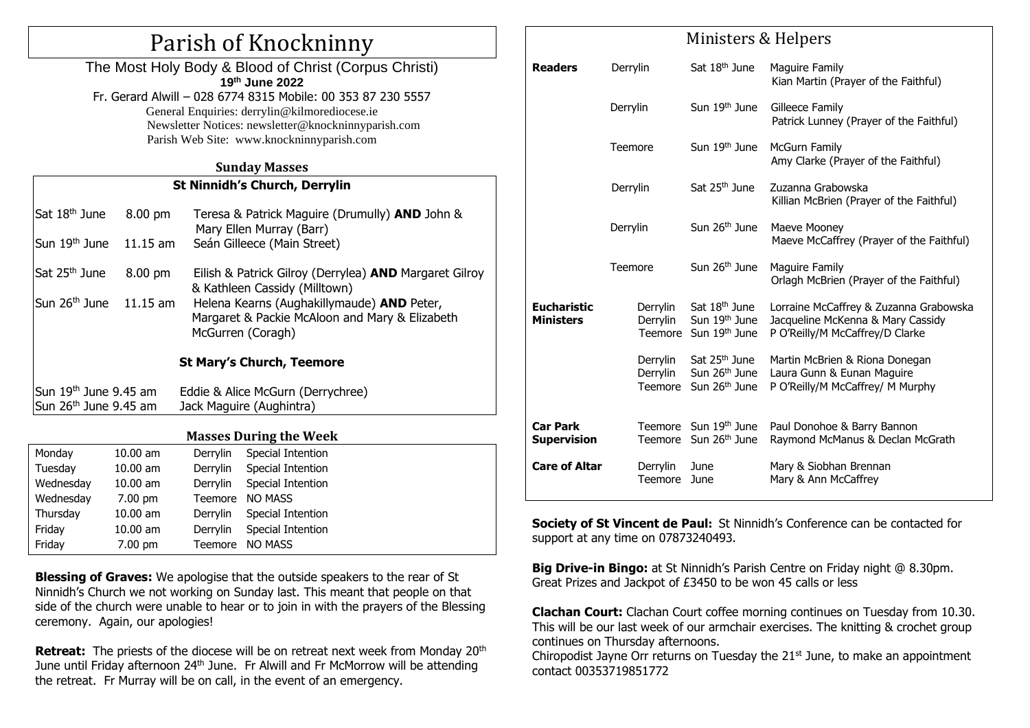## Parish of Knockninny

The Most Holy Body & Blood of Christ (Corpus Christi) **19 th June 2022** Fr. Gerard Alwill – 028 6774 8315 Mobile: 00 353 87 230 5557 General Enquiries: [derrylin@kilmorediocese.ie](mailto:derrylin@kilmorediocese.ie) Newsletter Notices: newsletter@knockninnyparish.com Parish Web Site: www.knockninnyparish.com

#### **Sunday Masses**

### **St Ninnidh's Church, Derrylin**

|                                   | Sat 18 <sup>th</sup> June<br>Sun 19 <sup>th</sup> June | 8.00 pm<br>$11.15$ am    |                                                                     | Teresa & Patrick Maguire (Drumully) <b>AND</b> John &<br>Mary Ellen Murray (Barr)<br>Seán Gilleece (Main Street) |  |  |  |  |
|-----------------------------------|--------------------------------------------------------|--------------------------|---------------------------------------------------------------------|------------------------------------------------------------------------------------------------------------------|--|--|--|--|
|                                   |                                                        |                          |                                                                     |                                                                                                                  |  |  |  |  |
|                                   | Sat 25 <sup>th</sup> June                              | 8.00 pm                  |                                                                     | Eilish & Patrick Gilroy (Derrylea) AND Margaret Gilroy<br>& Kathleen Cassidy (Milltown)                          |  |  |  |  |
|                                   | Sun 26 <sup>th</sup> June                              | $11.15$ am               | Helena Kearns (Aughakillymaude) <b>AND</b> Peter,                   |                                                                                                                  |  |  |  |  |
|                                   |                                                        |                          | Margaret & Packie McAloon and Mary & Elizabeth<br>McGurren (Coragh) |                                                                                                                  |  |  |  |  |
|                                   | <b>St Mary's Church, Teemore</b>                       |                          |                                                                     |                                                                                                                  |  |  |  |  |
|                                   |                                                        |                          |                                                                     |                                                                                                                  |  |  |  |  |
|                                   | Sun $19th$ June 9.45 am                                |                          | Eddie & Alice McGurn (Derrychree)                                   |                                                                                                                  |  |  |  |  |
| Sun 26 <sup>th</sup> June 9.45 am |                                                        | Jack Maguire (Aughintra) |                                                                     |                                                                                                                  |  |  |  |  |
|                                   |                                                        |                          |                                                                     |                                                                                                                  |  |  |  |  |
| <b>Masses During the Week</b>     |                                                        |                          |                                                                     |                                                                                                                  |  |  |  |  |
|                                   | Monday                                                 | $10.00$ am               | Derrylin                                                            | Special Intention                                                                                                |  |  |  |  |
|                                   | Tuesday                                                | $10.00$ am               | Derrylin                                                            | Special Intention                                                                                                |  |  |  |  |
|                                   | Wednesday                                              | $10.00$ am               |                                                                     | Derrylin Special Intention                                                                                       |  |  |  |  |
|                                   | Wednesday                                              | $7.00 \text{ pm}$        |                                                                     | Teemore NO MASS                                                                                                  |  |  |  |  |
|                                   | Thursday                                               | $10.00$ am               | Derrylin                                                            | Special Intention                                                                                                |  |  |  |  |
|                                   | Friday                                                 | 10.00 am                 | Derrylin                                                            | Special Intention                                                                                                |  |  |  |  |

**Blessing of Graves:** We apologise that the outside speakers to the rear of St Ninnidh's Church we not working on Sunday last. This meant that people on that side of the church were unable to hear or to join in with the prayers of the Blessing ceremony. Again, our apologies!

Friday 7.00 pm Teemore NO MASS

**Retreat:** The priests of the diocese will be on retreat next week from Monday 20<sup>th</sup> June until Friday afternoon 24<sup>th</sup> June. Fr Alwill and Fr McMorrow will be attending the retreat. Fr Murray will be on call, in the event of an emergency.

## Ministers & Helpers

| <b>Readers</b>                         | Derrylin                        | Sat 18 <sup>th</sup> June                                                           | <b>Maguire Family</b><br>Kian Martin (Prayer of the Faithful)                                                  |
|----------------------------------------|---------------------------------|-------------------------------------------------------------------------------------|----------------------------------------------------------------------------------------------------------------|
|                                        | Derrylin                        | Sun 19th June                                                                       | Gilleece Family<br>Patrick Lunney (Prayer of the Faithful)                                                     |
|                                        | Teemore                         | Sun 19 <sup>th</sup> June                                                           | <b>McGurn Family</b><br>Amy Clarke (Prayer of the Faithful)                                                    |
|                                        | Derrylin                        | Sat 25 <sup>th</sup> June                                                           | Zuzanna Grabowska<br>Killian McBrien (Prayer of the Faithful)                                                  |
|                                        | Derrylin                        | Sun 26 <sup>th</sup> June                                                           | Maeve Mooney<br>Maeve McCaffrey (Prayer of the Faithful)                                                       |
|                                        | Teemore                         | Sun 26 <sup>th</sup> June                                                           | Maguire Family<br>Orlagh McBrien (Prayer of the Faithful)                                                      |
| <b>Eucharistic</b><br><b>Ministers</b> | Derrylin<br>Derrylin<br>Teemore | Sat 18 <sup>th</sup> June<br>Sun 19th June<br>Sun 19 <sup>th</sup> June             | Lorraine McCaffrey & Zuzanna Grabowska<br>Jacqueline McKenna & Mary Cassidy<br>P O'Reilly/M McCaffrey/D Clarke |
|                                        | Derrylin<br>Derrylin<br>Teemore | Sat 25 <sup>th</sup> June<br>Sun 26 <sup>th</sup> June<br>Sun 26 <sup>th</sup> June | Martin McBrien & Riona Donegan<br>Laura Gunn & Eunan Maguire<br>P O'Reilly/M McCaffrey/ M Murphy               |
| <b>Car Park</b><br><b>Supervision</b>  | Teemore                         | Sun 19 <sup>th</sup> June<br>Teemore Sun 26 <sup>th</sup> June                      | Paul Donohoe & Barry Bannon<br>Raymond McManus & Declan McGrath                                                |
| <b>Care of Altar</b>                   | Derrylin<br>Teemore             | June<br>June                                                                        | Mary & Siobhan Brennan<br>Mary & Ann McCaffrey                                                                 |

**Society of St Vincent de Paul:** St Ninnidh's Conference can be contacted for support at any time on 07873240493.

**Big Drive-in Bingo:** at St Ninnidh's Parish Centre on Friday night @ 8.30pm. Great Prizes and Jackpot of £3450 to be won 45 calls or less

**Clachan Court:** Clachan Court coffee morning continues on Tuesday from 10.30. This will be our last week of our armchair exercises. The knitting & crochet group continues on Thursday afternoons.

Chiropodist Jayne Orr returns on Tuesday the 21<sup>st</sup> June, to make an appointment contact 00353719851772